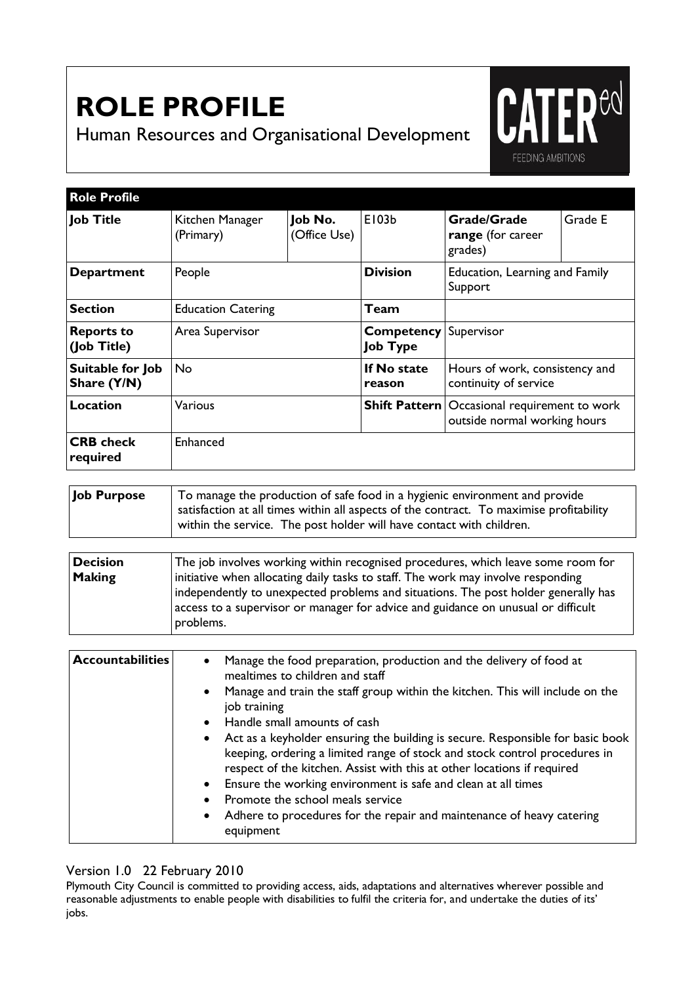## **ROLE PROFILE**

Human Resources and Organisational Development



| <b>Role Profile</b>              |                              |                         |                                      |                                                                                       |         |
|----------------------------------|------------------------------|-------------------------|--------------------------------------|---------------------------------------------------------------------------------------|---------|
| <b>Job Title</b>                 | Kitchen Manager<br>(Primary) | Job No.<br>(Office Use) | E103b                                | <b>Grade/Grade</b><br>range (for career<br>grades)                                    | Grade E |
| <b>Department</b>                | People                       |                         | <b>Division</b>                      | Education, Learning and Family<br>Support                                             |         |
| <b>Section</b>                   | <b>Education Catering</b>    |                         | <b>Team</b>                          |                                                                                       |         |
| <b>Reports to</b><br>(Job Title) | Area Supervisor              |                         | <b>Competency</b><br><b>Job Type</b> | Supervisor                                                                            |         |
| Suitable for Job<br>Share (Y/N)  | No.                          |                         | If No state<br>reason                | Hours of work, consistency and<br>continuity of service                               |         |
| <b>Location</b>                  | Various                      |                         |                                      | <b>Shift Pattern</b>   Occasional requirement to work<br>outside normal working hours |         |
| <b>CRB</b> check<br>required     | Enhanced                     |                         |                                      |                                                                                       |         |

**Job Purpose** To manage the production of safe food in a hygienic environment and provide satisfaction at all times within all aspects of the contract. To maximise profitability within the service. The post holder will have contact with children.

| <b>Decision</b> | The job involves working within recognised procedures, which leave some room for   |
|-----------------|------------------------------------------------------------------------------------|
| <b>Making</b>   | initiative when allocating daily tasks to staff. The work may involve responding   |
|                 | independently to unexpected problems and situations. The post holder generally has |
|                 | access to a supervisor or manager for advice and guidance on unusual or difficult  |
|                 | problems.                                                                          |

| <b>Accountabilities</b> | Manage the food preparation, production and the delivery of food at<br>$\bullet$<br>mealtimes to children and staff<br>Manage and train the staff group within the kitchen. This will include on the<br>$\bullet$<br>job training<br>Handle small amounts of cash<br>Act as a keyholder ensuring the building is secure. Responsible for basic book<br>$\bullet$<br>keeping, ordering a limited range of stock and stock control procedures in<br>respect of the kitchen. Assist with this at other locations if required<br>Ensure the working environment is safe and clean at all times<br>Promote the school meals service<br>Adhere to procedures for the repair and maintenance of heavy catering<br>$\bullet$ |
|-------------------------|----------------------------------------------------------------------------------------------------------------------------------------------------------------------------------------------------------------------------------------------------------------------------------------------------------------------------------------------------------------------------------------------------------------------------------------------------------------------------------------------------------------------------------------------------------------------------------------------------------------------------------------------------------------------------------------------------------------------|
|                         | equipment                                                                                                                                                                                                                                                                                                                                                                                                                                                                                                                                                                                                                                                                                                            |
|                         |                                                                                                                                                                                                                                                                                                                                                                                                                                                                                                                                                                                                                                                                                                                      |

## Version 1.0 22 February 2010

Plymouth City Council is committed to providing access, aids, adaptations and alternatives wherever possible and reasonable adjustments to enable people with disabilities to fulfil the criteria for, and undertake the duties of its' jobs.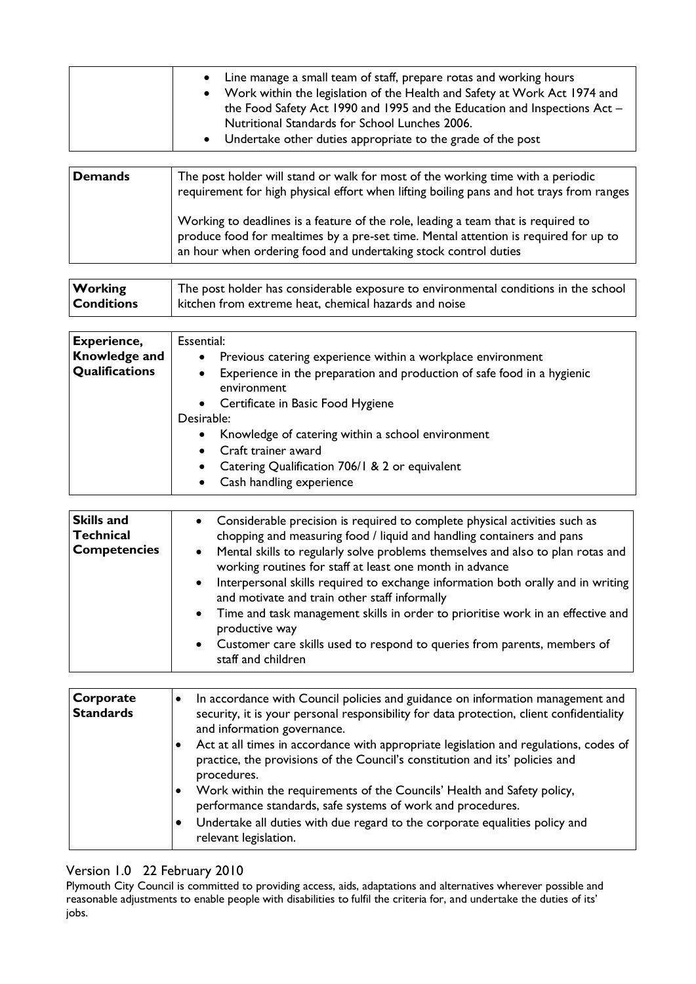| Line manage a small team of staff, prepare rotas and working hours<br>$\bullet$<br>Work within the legislation of the Health and Safety at Work Act 1974 and<br>$\bullet$<br>the Food Safety Act 1990 and 1995 and the Education and Inspections Act -<br>Nutritional Standards for School Lunches 2006.<br>• Undertake other duties appropriate to the grade of the post |
|---------------------------------------------------------------------------------------------------------------------------------------------------------------------------------------------------------------------------------------------------------------------------------------------------------------------------------------------------------------------------|
|                                                                                                                                                                                                                                                                                                                                                                           |

| Demands | The post holder will stand or walk for most of the working time with a periodic<br>requirement for high physical effort when lifting boiling pans and hot trays from ranges                                                                  |
|---------|----------------------------------------------------------------------------------------------------------------------------------------------------------------------------------------------------------------------------------------------|
|         | Working to deadlines is a feature of the role, leading a team that is required to<br>produce food for mealtimes by a pre-set time. Mental attention is required for up to<br>an hour when ordering food and undertaking stock control duties |

| <b>Working</b>    | The post holder has considerable exposure to environmental conditions in the school |
|-------------------|-------------------------------------------------------------------------------------|
| <b>Conditions</b> | kitchen from extreme heat, chemical hazards and noise                               |

| <b>Experience,</b><br><b>Knowledge and</b><br>Qualifications | Essential:<br>Previous catering experience within a workplace environment<br>$\bullet$<br>Experience in the preparation and production of safe food in a hygienic<br>$\bullet$<br>environment<br>• Certificate in Basic Food Hygiene |
|--------------------------------------------------------------|--------------------------------------------------------------------------------------------------------------------------------------------------------------------------------------------------------------------------------------|
|                                                              | Desirable:<br>Knowledge of catering within a school environment<br>$\bullet$<br>• Craft trainer award<br>• Catering Qualification 706/1 & 2 or equivalent<br>Cash handling experience<br>$\bullet$                                   |

| <b>Skills and</b><br><b>Technical</b><br><b>Competencies</b> | • Considerable precision is required to complete physical activities such as<br>chopping and measuring food / liquid and handling containers and pans<br>• Mental skills to regularly solve problems themselves and also to plan rotas and<br>working routines for staff at least one month in advance |
|--------------------------------------------------------------|--------------------------------------------------------------------------------------------------------------------------------------------------------------------------------------------------------------------------------------------------------------------------------------------------------|
|                                                              | • Interpersonal skills required to exchange information both orally and in writing<br>and motivate and train other staff informally                                                                                                                                                                    |
|                                                              | • Time and task management skills in order to prioritise work in an effective and<br>productive way                                                                                                                                                                                                    |
|                                                              | • Customer care skills used to respond to queries from parents, members of<br>staff and children                                                                                                                                                                                                       |

| Corporate<br><b>Standards</b> | In accordance with Council policies and guidance on information management and<br>security, it is your personal responsibility for data protection, client confidentiality<br>and information governance.<br>Act at all times in accordance with appropriate legislation and regulations, codes of                                            |
|-------------------------------|-----------------------------------------------------------------------------------------------------------------------------------------------------------------------------------------------------------------------------------------------------------------------------------------------------------------------------------------------|
|                               | practice, the provisions of the Council's constitution and its' policies and<br>procedures.<br>Work within the requirements of the Councils' Health and Safety policy,<br>performance standards, safe systems of work and procedures.<br>Undertake all duties with due regard to the corporate equalities policy and<br>relevant legislation. |

## Version 1.0 22 February 2010

Plymouth City Council is committed to providing access, aids, adaptations and alternatives wherever possible and reasonable adjustments to enable people with disabilities to fulfil the criteria for, and undertake the duties of its' jobs.